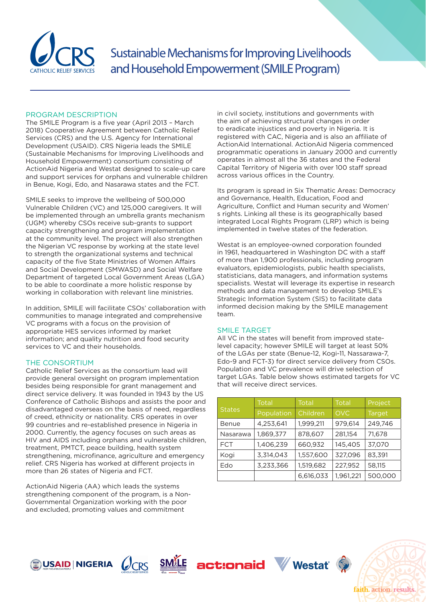

Sustainable Mechanisms for Improving Livelihoods and Household Empowerment (SMILE Program)

### PROGRAM DESCRIPTION

The SMILE Program is a five year (April 2013 – March 2018) Cooperative Agreement between Catholic Relief Services (CRS) and the U.S. Agency for International Development (USAID). CRS Nigeria leads the SMILE (Sustainable Mechanisms for Improving Livelihoods and Household Empowerment) consortium consisting of ActionAid Nigeria and Westat designed to scale-up care and support services for orphans and vulnerable children in Benue, Kogi, Edo, and Nasarawa states and the FCT.

SMILE seeks to improve the wellbeing of 500,000 Vulnerable Children (VC) and 125,000 caregivers. It will be implemented through an umbrella grants mechanism (UGM) whereby CSOs receive sub-grants to support capacity strengthening and program implementation at the community level. The project will also strengthen the Nigerian VC response by working at the state level to strength the organizational systems and technical capacity of the five State Ministries of Women Affairs and Social Development (SMWASD) and Social Welfare Department of targeted Local Government Areas (LGA) to be able to coordinate a more holistic response by working in collaboration with relevant line ministries.

In addition, SMILE will facilitate CSOs' collaboration with communities to manage integrated and comprehensive VC programs with a focus on the provision of appropriate HES services informed by market information; and quality nutrition and food security services to VC and their households.

# THE CONSORTIUM

Catholic Relief Services as the consortium lead will provide general oversight on program implementation besides being responsible for grant management and direct service delivery. It was founded in 1943 by the US Conference of Catholic Bishops and assists the poor and disadvantaged overseas on the basis of need, regardless of creed, ethnicity or nationality. CRS operates in over 99 countries and re-established presence in Nigeria in 2000. Currently, the agency focuses on such areas as HIV and AIDS including orphans and vulnerable children, treatment, PMTCT, peace building, health system strengthening, microfinance, agriculture and emergency relief. CRS Nigeria has worked at different projects in more than 26 states of Nigeria and FCT.

ActionAid Nigeria (AA) which leads the systems strengthening component of the program, is a Non-Governmental Organization working with the poor and excluded, promoting values and commitment

in civil society, institutions and governments with the aim of achieving structural changes in order to eradicate injustices and poverty in Nigeria. It is registered with CAC, Nigeria and is also an affiliate of ActionAid International. ActionAid Nigeria commenced programmatic operations in January 2000 and currently operates in almost all the 36 states and the Federal Capital Territory of Nigeria with over 100 staff spread across various offices in the Country.

Its program is spread in Six Thematic Areas: Democracy and Governance, Health, Education, Food and Agriculture, Conflict and Human security and Women' s rights. Linking all these is its geographically based integrated Local Rights Program (LRP) which is being implemented in twelve states of the federation.

Westat is an employee-owned corporation founded in 1961, headquartered in Washington DC with a staff of more than 1,900 professionals, including program evaluators, epidemiologists, public health specialists, statisticians, data managers, and information systems specialists. Westat will leverage its expertise in research methods and data management to develop SMILE's Strategic Information System (SIS) to facilitate data informed decision making by the SMILE management team.

### SMILE TARGET

All VC in the states will benefit from improved statelevel capacity; however SMILE will target at least 50% of the LGAs per state (Benue-12, Kogi-11, Nassarawa-7, Edo-9 and FCT-3) for direct service delivery from CSOs. Population and VC prevalence will drive selection of target LGAs. Table below shows estimated targets for VC that will receive direct services.

| <b>States</b> | <b>Total</b> | <b>Total</b> | <b>Total</b> | Project       |
|---------------|--------------|--------------|--------------|---------------|
|               | Population   | Children     | <b>OVC</b>   | <b>Target</b> |
| Benue         | 4,253,641    | 1,999,211    | 979.614      | 249,746       |
| Nasarawa      | 1,869,377    | 878,607      | 281,154      | 71,678        |
| <b>FCT</b>    | 1,406,239    | 660,932      | 145,405      | 37,070        |
| Kogi          | 3,314,043    | 1,557,600    | 327,096      | 83,391        |
| Edo           | 3,233,366    | 1,519,682    | 227,952      | 58,115        |
|               |              | 6,616,033    | 1,961,221    | 500,000       |